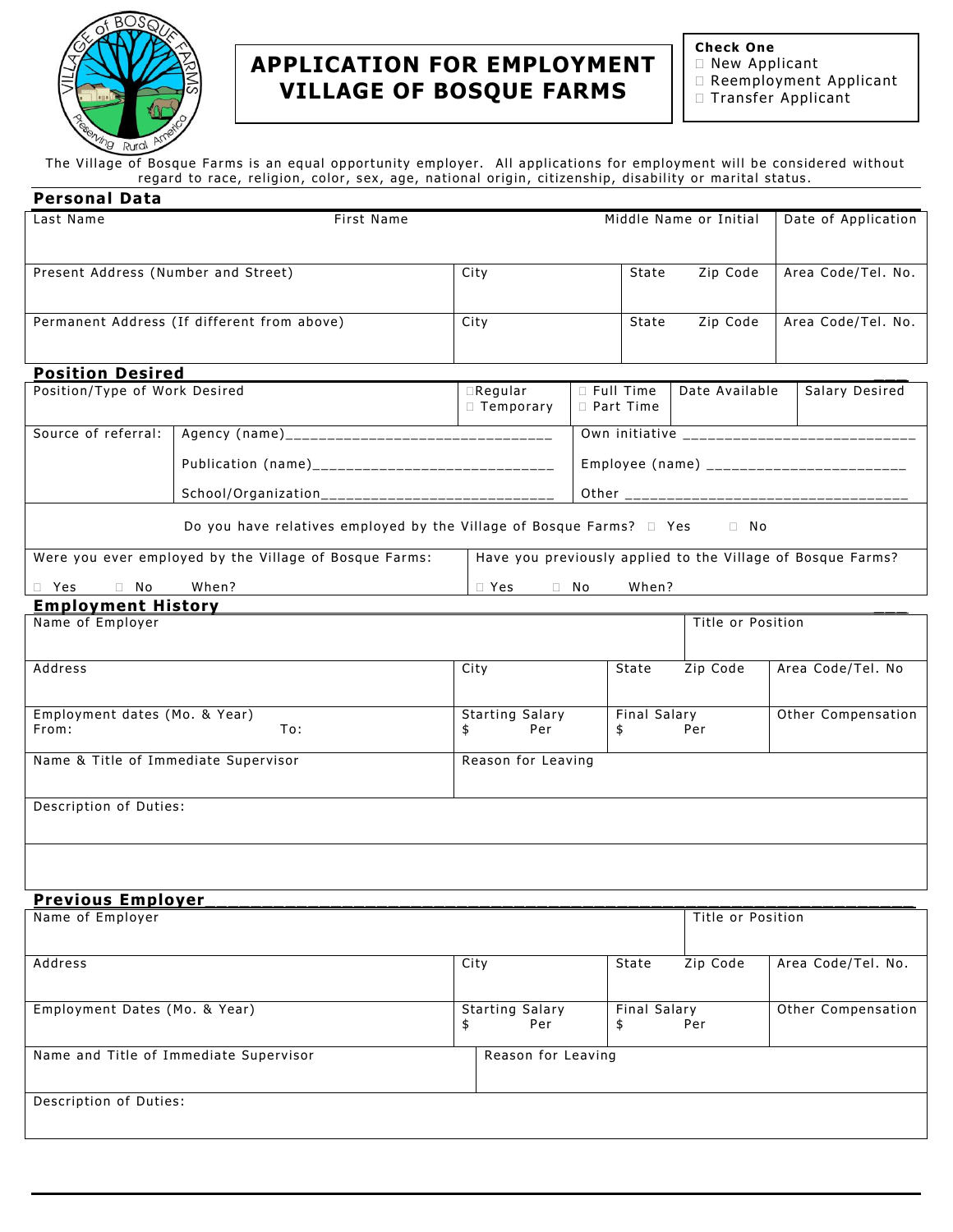

# **APPLICATION FOR EMPLOYMENT VILLAGE OF BOSQUE FARMS**

**Check One**

- New Applicant
- Reemployment Applicant
- □ Transfer Applicant

The Village of Bosque Farms is an equal opportunity employer. All applications for employment will be considered without regard to race, religion, color, sex, age, national origin, citizenship, disability or marital status.

| <b>Personal Data</b>                          |                                                                                     |                                              |              |       |                                                  |                                                             |  |
|-----------------------------------------------|-------------------------------------------------------------------------------------|----------------------------------------------|--------------|-------|--------------------------------------------------|-------------------------------------------------------------|--|
| Last Name                                     | <b>First Name</b>                                                                   |                                              |              |       | Middle Name or Initial                           | Date of Application                                         |  |
|                                               |                                                                                     |                                              |              |       |                                                  |                                                             |  |
| Present Address (Number and Street)           |                                                                                     | City                                         |              | State | Zip Code                                         | Area Code/Tel. No.                                          |  |
|                                               |                                                                                     |                                              |              |       |                                                  |                                                             |  |
|                                               | Permanent Address (If different from above)                                         | City                                         |              |       | Zip Code                                         | Area Code/Tel. No.                                          |  |
|                                               |                                                                                     |                                              |              |       |                                                  |                                                             |  |
| <b>Position Desired</b>                       |                                                                                     |                                              |              |       |                                                  |                                                             |  |
| Position/Type of Work Desired                 | $\Box$ Regular<br>$\Box$ Temporary                                                  | □ Full Time<br>Date Available<br>D Part Time |              |       | Salary Desired                                   |                                                             |  |
| Source of referral:                           |                                                                                     |                                              |              |       |                                                  |                                                             |  |
|                                               |                                                                                     |                                              |              |       |                                                  | Employee (name) ___________________________                 |  |
|                                               | School/Organization________________________________                                 |                                              |              |       |                                                  |                                                             |  |
|                                               | Do you have relatives employed by the Village of Bosque Farms? $\Box$ Yes $\Box$ No |                                              |              |       |                                                  |                                                             |  |
|                                               |                                                                                     |                                              |              |       |                                                  |                                                             |  |
|                                               | Were you ever employed by the Village of Bosque Farms:                              |                                              |              |       |                                                  | Have you previously applied to the Village of Bosque Farms? |  |
| $\Box$ Yes<br>No<br>0                         | When?                                                                               | $\Box$ Yes                                   | $\Box$ No    | When? |                                                  |                                                             |  |
| <b>Employment History</b><br>Name of Employer |                                                                                     | Title or Position                            |              |       |                                                  |                                                             |  |
|                                               |                                                                                     |                                              |              |       |                                                  |                                                             |  |
| <b>Address</b>                                |                                                                                     | City                                         |              | State | Zip Code                                         | Area Code/Tel. No                                           |  |
|                                               |                                                                                     |                                              |              |       |                                                  |                                                             |  |
| Employment dates (Mo. & Year)                 | <b>Starting Salary</b>                                                              |                                              | Final Salary |       | Other Compensation                               |                                                             |  |
| From:                                         | To:                                                                                 | \$<br>Per                                    | \$           |       | Per                                              |                                                             |  |
| Name & Title of Immediate Supervisor          | Reason for Leaving                                                                  |                                              |              |       |                                                  |                                                             |  |
|                                               |                                                                                     |                                              |              |       |                                                  |                                                             |  |
| Description of Duties:                        |                                                                                     |                                              |              |       |                                                  |                                                             |  |
|                                               |                                                                                     |                                              |              |       |                                                  |                                                             |  |
|                                               |                                                                                     |                                              |              |       |                                                  |                                                             |  |
| <b>Previous Employer</b>                      |                                                                                     |                                              |              |       |                                                  |                                                             |  |
| Name of Employer                              |                                                                                     |                                              |              |       | Title or Position                                |                                                             |  |
| <b>Address</b>                                |                                                                                     | City                                         |              | State | Zip Code                                         | Area Code/Tel. No.                                          |  |
|                                               |                                                                                     |                                              |              |       |                                                  |                                                             |  |
| Employment Dates (Mo. & Year)                 |                                                                                     | <b>Starting Salary</b><br>Per<br>\$<br>\$    |              |       | <b>Final Salary</b><br>Other Compensation<br>Per |                                                             |  |
| Name and Title of Immediate Supervisor        | Reason for Leaving                                                                  |                                              |              |       |                                                  |                                                             |  |
|                                               |                                                                                     |                                              |              |       |                                                  |                                                             |  |
| Description of Duties:                        |                                                                                     |                                              |              |       |                                                  |                                                             |  |
|                                               |                                                                                     |                                              |              |       |                                                  |                                                             |  |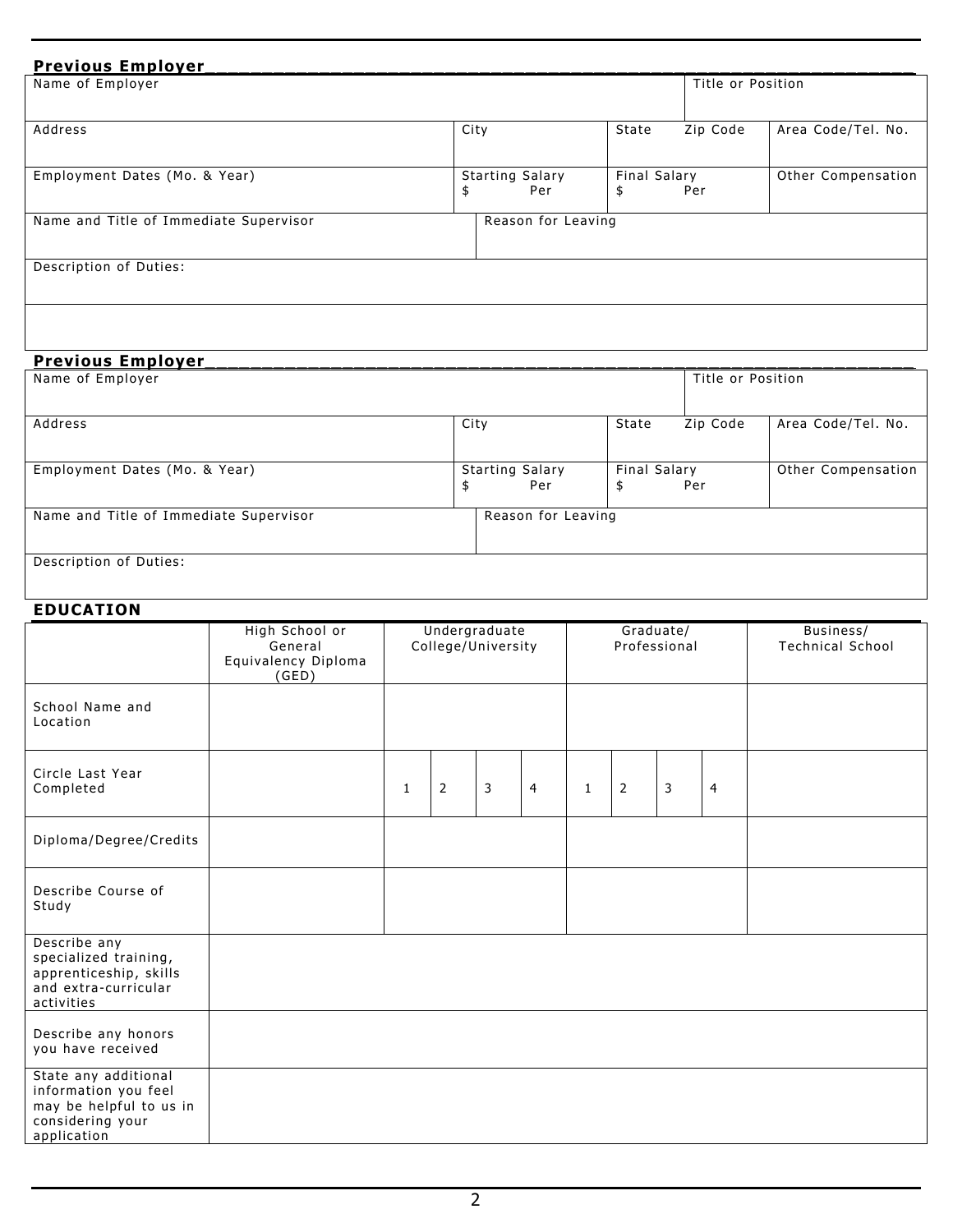| <b>Previous Employer</b>               |                        |                   |                    |
|----------------------------------------|------------------------|-------------------|--------------------|
| Name of Employer                       |                        | Title or Position |                    |
|                                        |                        |                   |                    |
| Address                                | City                   | State<br>Zip Code | Area Code/Tel. No. |
|                                        |                        |                   |                    |
| Employment Dates (Mo. & Year)          | <b>Starting Salary</b> | Final Salary      | Other Compensation |
|                                        | Per<br>\$              | Per<br>\$         |                    |
| Name and Title of Immediate Supervisor | Reason for Leaving     |                   |                    |
|                                        |                        |                   |                    |
| Description of Duties:                 |                        |                   |                    |
|                                        |                        |                   |                    |
|                                        |                        |                   |                    |
|                                        |                        |                   |                    |

| <b>Previous Employer</b>               |      |                               |              |                   |                    |
|----------------------------------------|------|-------------------------------|--------------|-------------------|--------------------|
| Name of Employer                       |      |                               |              | Title or Position |                    |
| Address                                | City |                               | State        | Zip Code          | Area Code/Tel. No. |
|                                        |      |                               |              |                   |                    |
| Employment Dates (Mo. & Year)          | \$   | <b>Starting Salary</b><br>Per | Final Salary | Per               | Other Compensation |
| Name and Title of Immediate Supervisor |      | Reason for Leaving            |              |                   |                    |
| Description of Duties:                 |      |                               |              |                   |                    |

## **EDUCATION**

|                                                                                                            | High School or<br>General<br>Equivalency Diploma<br>(GED) | Undergraduate<br>College/University |                | Graduate/<br>Professional |                |              |                | Business/<br><b>Technical School</b> |                |  |
|------------------------------------------------------------------------------------------------------------|-----------------------------------------------------------|-------------------------------------|----------------|---------------------------|----------------|--------------|----------------|--------------------------------------|----------------|--|
| School Name and<br>Location                                                                                |                                                           |                                     |                |                           |                |              |                |                                      |                |  |
| Circle Last Year<br>Completed                                                                              |                                                           | 1                                   | $\overline{2}$ | $\mathsf{3}$              | $\overline{4}$ | $\mathbf{1}$ | $\overline{2}$ | 3                                    | $\overline{4}$ |  |
| Diploma/Degree/Credits                                                                                     |                                                           |                                     |                |                           |                |              |                |                                      |                |  |
| Describe Course of<br>Study                                                                                |                                                           |                                     |                |                           |                |              |                |                                      |                |  |
| Describe any<br>specialized training,<br>apprenticeship, skills<br>and extra-curricular<br>activities      |                                                           |                                     |                |                           |                |              |                |                                      |                |  |
| Describe any honors<br>you have received                                                                   |                                                           |                                     |                |                           |                |              |                |                                      |                |  |
| State any additional<br>information you feel<br>may be helpful to us in<br>considering your<br>application |                                                           |                                     |                |                           |                |              |                |                                      |                |  |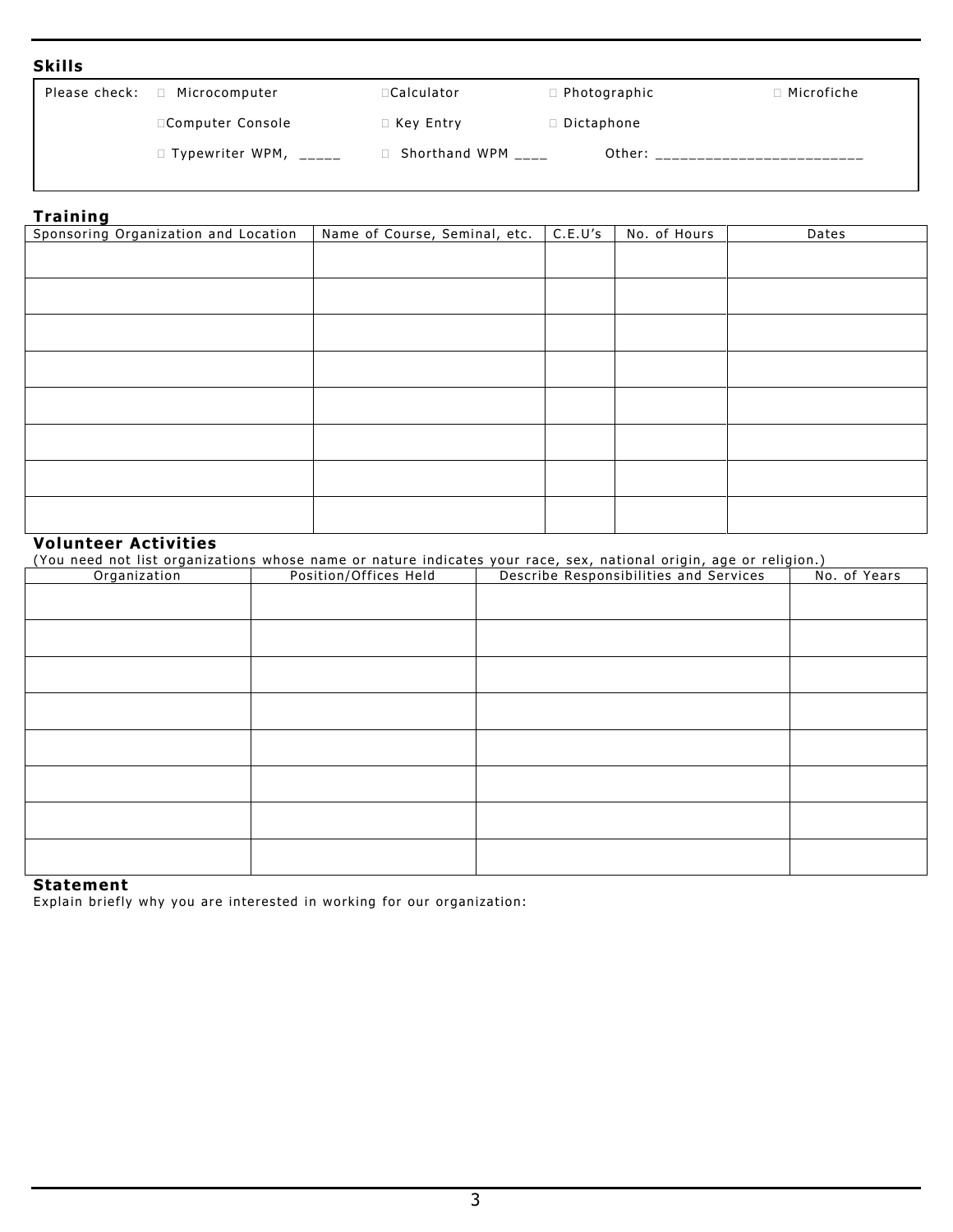### **Skills**

| Please check: | Microcomputer<br>$\Box$ | □Calculator          | $\Box$ Photographic | $\Box$ Microfiche |
|---------------|-------------------------|----------------------|---------------------|-------------------|
|               | □Computer Console       | $\Box$ Key Entry     | Dictaphone          |                   |
|               | $\Box$ Typewriter WPM,  | □ Shorthand WPM ____ | Other:              |                   |
|               |                         |                      |                     |                   |

# **Training**

| Sponsoring Organization and Location | Name of Course, Seminal, etc. | C.E.U's | No. of Hours | Dates |
|--------------------------------------|-------------------------------|---------|--------------|-------|
|                                      |                               |         |              |       |
|                                      |                               |         |              |       |
|                                      |                               |         |              |       |
|                                      |                               |         |              |       |
|                                      |                               |         |              |       |
|                                      |                               |         |              |       |
|                                      |                               |         |              |       |
|                                      |                               |         |              |       |
|                                      |                               |         |              |       |
|                                      |                               |         |              |       |
|                                      |                               |         |              |       |
|                                      |                               |         |              |       |
|                                      |                               |         |              |       |
|                                      |                               |         |              |       |
|                                      |                               |         |              |       |

# **Volunteer Activities**

(You need not list organizations whose name or nature indicates your race, sex, national origin, age or religion.)

| Organization | Position/Offices Held | Describe Responsibilities and Services | No. of Years |
|--------------|-----------------------|----------------------------------------|--------------|
|              |                       |                                        |              |
|              |                       |                                        |              |
|              |                       |                                        |              |
|              |                       |                                        |              |
|              |                       |                                        |              |
|              |                       |                                        |              |
|              |                       |                                        |              |
|              |                       |                                        |              |
|              |                       |                                        |              |
|              |                       |                                        |              |
|              |                       |                                        |              |
|              |                       |                                        |              |
|              |                       |                                        |              |
|              |                       |                                        |              |
|              |                       |                                        |              |
|              |                       |                                        |              |

#### **Statement**

Explain briefly why you are interested in working for our organization: